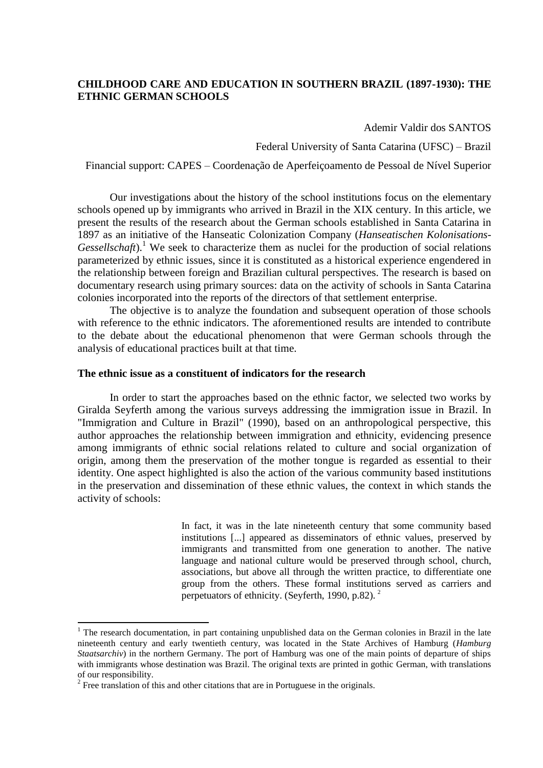# **CHILDHOOD CARE AND EDUCATION IN SOUTHERN BRAZIL (1897-1930): THE ETHNIC GERMAN SCHOOLS**

Ademir Valdir dos SANTOS

Federal University of Santa Catarina (UFSC) – Brazil

Financial support: CAPES – Coordenação de Aperfeiçoamento de Pessoal de Nível Superior

Our investigations about the history of the school institutions focus on the elementary schools opened up by immigrants who arrived in Brazil in the XIX century. In this article, we present the results of the research about the German schools established in Santa Catarina in 1897 as an initiative of the Hanseatic Colonization Company (*Hanseatischen Kolonisations-Gessellschaft*).<sup>1</sup> We seek to characterize them as nuclei for the production of social relations parameterized by ethnic issues, since it is constituted as a historical experience engendered in the relationship between foreign and Brazilian cultural perspectives. The research is based on documentary research using primary sources: data on the activity of schools in Santa Catarina colonies incorporated into the reports of the directors of that settlement enterprise.

The objective is to analyze the foundation and subsequent operation of those schools with reference to the ethnic indicators. The aforementioned results are intended to contribute to the debate about the educational phenomenon that were German schools through the analysis of educational practices built at that time.

## **The ethnic issue as a constituent of indicators for the research**

In order to start the approaches based on the ethnic factor, we selected two works by Giralda Seyferth among the various surveys addressing the immigration issue in Brazil. In "Immigration and Culture in Brazil" (1990), based on an anthropological perspective, this author approaches the relationship between immigration and ethnicity, evidencing presence among immigrants of ethnic social relations related to culture and social organization of origin, among them the preservation of the mother tongue is regarded as essential to their identity. One aspect highlighted is also the action of the various community based institutions in the preservation and dissemination of these ethnic values, the context in which stands the activity of schools:

> In fact, it was in the late nineteenth century that some community based institutions [...] appeared as disseminators of ethnic values, preserved by immigrants and transmitted from one generation to another. The native language and national culture would be preserved through school, church, associations, but above all through the written practice, to differentiate one group from the others. These formal institutions served as carriers and perpetuators of ethnicity. (Seyferth, 1990, p.82). <sup>2</sup>

<sup>&</sup>lt;sup>1</sup> The research documentation, in part containing unpublished data on the German colonies in Brazil in the late nineteenth century and early twentieth century, was located in the State Archives of Hamburg (*Hamburg Staatsarchiv*) in the northern Germany. The port of Hamburg was one of the main points of departure of ships with immigrants whose destination was Brazil. The original texts are printed in gothic German, with translations of our responsibility.

 $2^2$  Free translation of this and other citations that are in Portuguese in the originals.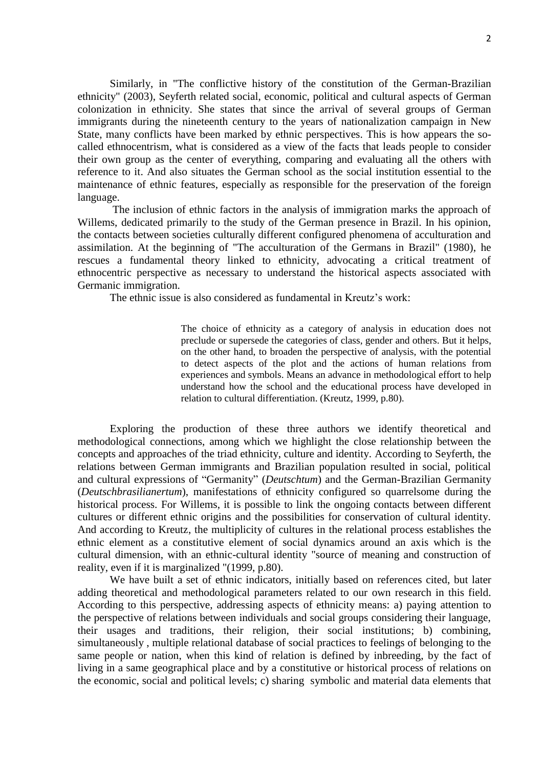Similarly, in "The conflictive history of the constitution of the German-Brazilian ethnicity" (2003), Seyferth related social, economic, political and cultural aspects of German colonization in ethnicity. She states that since the arrival of several groups of German immigrants during the nineteenth century to the years of nationalization campaign in New State, many conflicts have been marked by ethnic perspectives. This is how appears the socalled ethnocentrism, what is considered as a view of the facts that leads people to consider their own group as the center of everything, comparing and evaluating all the others with reference to it. And also situates the German school as the social institution essential to the maintenance of ethnic features, especially as responsible for the preservation of the foreign language.

The inclusion of ethnic factors in the analysis of immigration marks the approach of Willems, dedicated primarily to the study of the German presence in Brazil. In his opinion, the contacts between societies culturally different configured phenomena of acculturation and assimilation. At the beginning of "The acculturation of the Germans in Brazil" (1980), he rescues a fundamental theory linked to ethnicity, advocating a critical treatment of ethnocentric perspective as necessary to understand the historical aspects associated with Germanic immigration.

The ethnic issue is also considered as fundamental in Kreutz's work:

The choice of ethnicity as a category of analysis in education does not preclude or supersede the categories of class, gender and others. But it helps, on the other hand, to broaden the perspective of analysis, with the potential to detect aspects of the plot and the actions of human relations from experiences and symbols. Means an advance in methodological effort to help understand how the school and the educational process have developed in relation to cultural differentiation. (Kreutz, 1999, p.80).

Exploring the production of these three authors we identify theoretical and methodological connections, among which we highlight the close relationship between the concepts and approaches of the triad ethnicity, culture and identity. According to Seyferth, the relations between German immigrants and Brazilian population resulted in social, political and cultural expressions of "Germanity" (*Deutschtum*) and the German-Brazilian Germanity (*Deutschbrasilianertum*), manifestations of ethnicity configured so quarrelsome during the historical process. For Willems, it is possible to link the ongoing contacts between different cultures or different ethnic origins and the possibilities for conservation of cultural identity. And according to Kreutz, the multiplicity of cultures in the relational process establishes the ethnic element as a constitutive element of social dynamics around an axis which is the cultural dimension, with an ethnic-cultural identity "source of meaning and construction of reality, even if it is marginalized "(1999, p.80).

We have built a set of ethnic indicators, initially based on references cited, but later adding theoretical and methodological parameters related to our own research in this field. According to this perspective, addressing aspects of ethnicity means: a) paying attention to the perspective of relations between individuals and social groups considering their language, their usages and traditions, their religion, their social institutions; b) combining, simultaneously , multiple relational database of social practices to feelings of belonging to the same people or nation, when this kind of relation is defined by inbreeding, by the fact of living in a same geographical place and by a constitutive or historical process of relations on the economic, social and political levels; c) sharing symbolic and material data elements that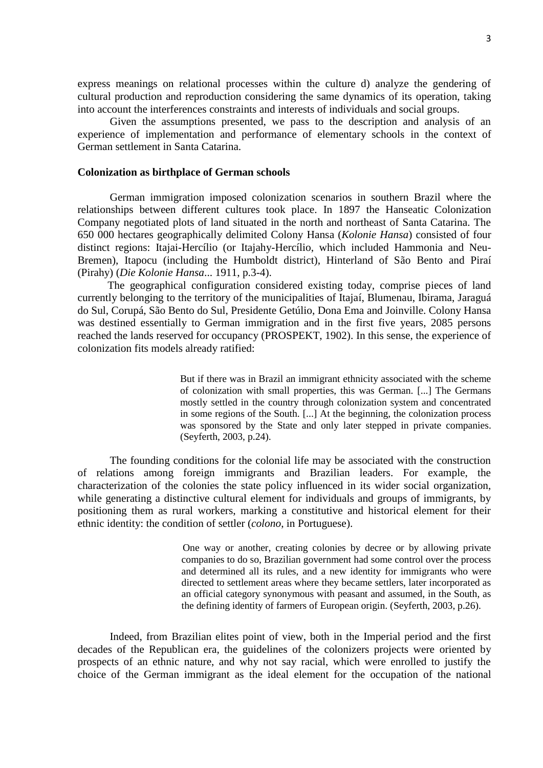express meanings on relational processes within the culture d) analyze the gendering of cultural production and reproduction considering the same dynamics of its operation, taking into account the interferences constraints and interests of individuals and social groups.

Given the assumptions presented, we pass to the description and analysis of an experience of implementation and performance of elementary schools in the context of German settlement in Santa Catarina.

#### **Colonization as birthplace of German schools**

German immigration imposed colonization scenarios in southern Brazil where the relationships between different cultures took place. In 1897 the Hanseatic Colonization Company negotiated plots of land situated in the north and northeast of Santa Catarina. The 650 000 hectares geographically delimited Colony Hansa (*Kolonie Hansa*) consisted of four distinct regions: Itajai-Hercílio (or Itajahy-Hercílio, which included Hammonia and Neu-Bremen), Itapocu (including the Humboldt district), Hinterland of São Bento and Piraí (Pirahy) (*Die Kolonie Hansa*... 1911, p.3-4).

 The geographical configuration considered existing today, comprise pieces of land currently belonging to the territory of the municipalities of Itajaí, Blumenau, Ibirama, Jaraguá do Sul, Corupá, São Bento do Sul, Presidente Getúlio, Dona Ema and Joinville. Colony Hansa was destined essentially to German immigration and in the first five years, 2085 persons reached the lands reserved for occupancy (PROSPEKT, 1902). In this sense, the experience of colonization fits models already ratified:

> But if there was in Brazil an immigrant ethnicity associated with the scheme of colonization with small properties, this was German. [...] The Germans mostly settled in the country through colonization system and concentrated in some regions of the South. [...] At the beginning, the colonization process was sponsored by the State and only later stepped in private companies. (Seyferth, 2003, p.24).

The founding conditions for the colonial life may be associated with the construction of relations among foreign immigrants and Brazilian leaders. For example, the characterization of the colonies the state policy influenced in its wider social organization, while generating a distinctive cultural element for individuals and groups of immigrants, by positioning them as rural workers, marking a constitutive and historical element for their ethnic identity: the condition of settler (*colono*, in Portuguese).

> One way or another, creating colonies by decree or by allowing private companies to do so, Brazilian government had some control over the process and determined all its rules, and a new identity for immigrants who were directed to settlement areas where they became settlers, later incorporated as an official category synonymous with peasant and assumed, in the South, as the defining identity of farmers of European origin. (Seyferth, 2003, p.26).

Indeed, from Brazilian elites point of view, both in the Imperial period and the first decades of the Republican era, the guidelines of the colonizers projects were oriented by prospects of an ethnic nature, and why not say racial, which were enrolled to justify the choice of the German immigrant as the ideal element for the occupation of the national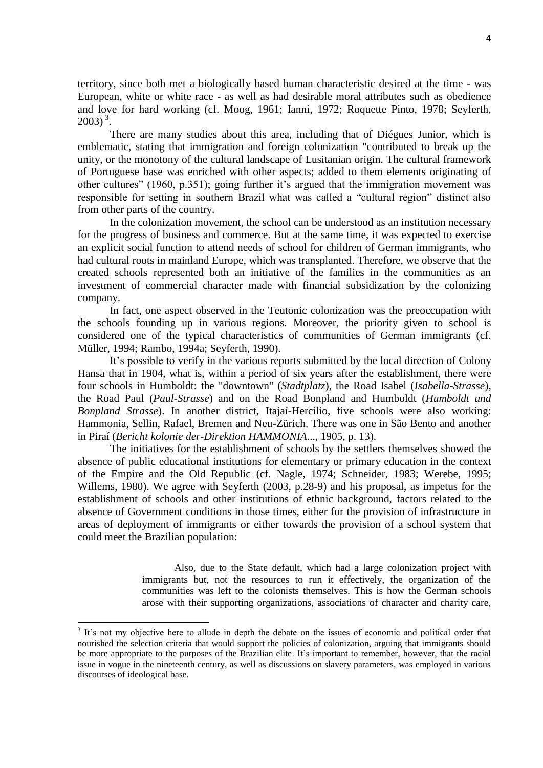territory, since both met a biologically based human characteristic desired at the time - was European, white or white race - as well as had desirable moral attributes such as obedience and love for hard working (cf. Moog, 1961; Ianni, 1972; Roquette Pinto, 1978; Seyferth,  $2003)^{3}$ .

There are many studies about this area, including that of Diégues Junior, which is emblematic, stating that immigration and foreign colonization "contributed to break up the unity, or the monotony of the cultural landscape of Lusitanian origin. The cultural framework of Portuguese base was enriched with other aspects; added to them elements originating of other cultures" (1960, p.351); going further it's argued that the immigration movement was responsible for setting in southern Brazil what was called a "cultural region" distinct also from other parts of the country.

In the colonization movement, the school can be understood as an institution necessary for the progress of business and commerce. But at the same time, it was expected to exercise an explicit social function to attend needs of school for children of German immigrants, who had cultural roots in mainland Europe, which was transplanted. Therefore, we observe that the created schools represented both an initiative of the families in the communities as an investment of commercial character made with financial subsidization by the colonizing company.

In fact, one aspect observed in the Teutonic colonization was the preoccupation with the schools founding up in various regions. Moreover, the priority given to school is considered one of the typical characteristics of communities of German immigrants (cf. Müller, 1994; Rambo, 1994a; Seyferth, 1990).

It's possible to verify in the various reports submitted by the local direction of Colony Hansa that in 1904, what is, within a period of six years after the establishment, there were four schools in Humboldt: the "downtown" (*Stadtplatz*), the Road Isabel (*Isabella-Strasse*), the Road Paul (*Paul-Strasse*) and on the Road Bonpland and Humboldt (*Humboldt und Bonpland Strasse*). In another district, Itajaí-Hercílio, five schools were also working: Hammonia, Sellin, Rafael, Bremen and Neu-Zürich. There was one in São Bento and another in Piraí (*Bericht kolonie der-Direktion HAMMONIA*..., 1905, p. 13).

The initiatives for the establishment of schools by the settlers themselves showed the absence of public educational institutions for elementary or primary education in the context of the Empire and the Old Republic (cf. Nagle, 1974; Schneider, 1983; Werebe, 1995; Willems, 1980). We agree with Seyferth (2003, p.28-9) and his proposal, as impetus for the establishment of schools and other institutions of ethnic background, factors related to the absence of Government conditions in those times, either for the provision of infrastructure in areas of deployment of immigrants or either towards the provision of a school system that could meet the Brazilian population:

> Also, due to the State default, which had a large colonization project with immigrants but, not the resources to run it effectively, the organization of the communities was left to the colonists themselves. This is how the German schools arose with their supporting organizations, associations of character and charity care,

<sup>&</sup>lt;sup>3</sup> It's not my objective here to allude in depth the debate on the issues of economic and political order that nourished the selection criteria that would support the policies of colonization, arguing that immigrants should be more appropriate to the purposes of the Brazilian elite. It's important to remember, however, that the racial issue in vogue in the nineteenth century, as well as discussions on slavery parameters, was employed in various discourses of ideological base.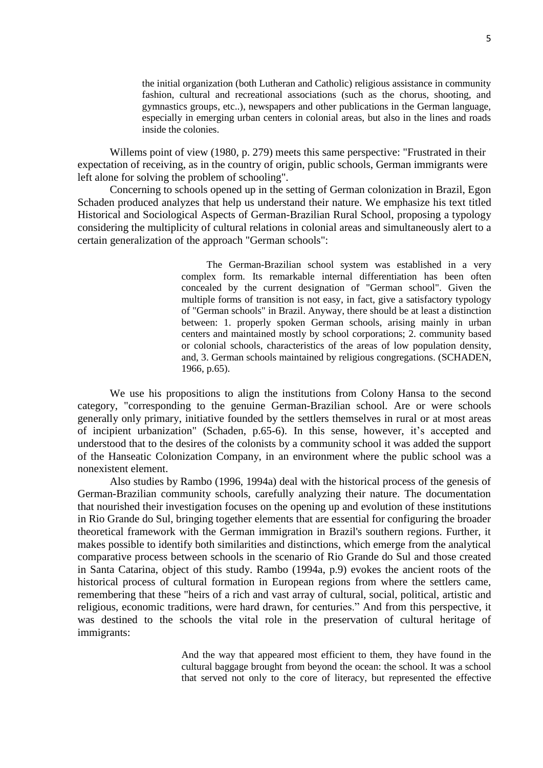the initial organization (both Lutheran and Catholic) religious assistance in community fashion, cultural and recreational associations (such as the chorus, shooting, and gymnastics groups, etc..), newspapers and other publications in the German language, especially in emerging urban centers in colonial areas, but also in the lines and roads inside the colonies.

Willems point of view (1980, p. 279) meets this same perspective: "Frustrated in their expectation of receiving, as in the country of origin, public schools, German immigrants were left alone for solving the problem of schooling".

Concerning to schools opened up in the setting of German colonization in Brazil, Egon Schaden produced analyzes that help us understand their nature. We emphasize his text titled Historical and Sociological Aspects of German-Brazilian Rural School, proposing a typology considering the multiplicity of cultural relations in colonial areas and simultaneously alert to a certain generalization of the approach "German schools":

> The German-Brazilian school system was established in a very complex form. Its remarkable internal differentiation has been often concealed by the current designation of "German school". Given the multiple forms of transition is not easy, in fact, give a satisfactory typology of "German schools" in Brazil. Anyway, there should be at least a distinction between: 1. properly spoken German schools, arising mainly in urban centers and maintained mostly by school corporations; 2. community based or colonial schools, characteristics of the areas of low population density, and, 3. German schools maintained by religious congregations. (SCHADEN, 1966, p.65).

We use his propositions to align the institutions from Colony Hansa to the second category, "corresponding to the genuine German-Brazilian school. Are or were schools generally only primary, initiative founded by the settlers themselves in rural or at most areas of incipient urbanization" (Schaden, p.65-6). In this sense, however, it's accepted and understood that to the desires of the colonists by a community school it was added the support of the Hanseatic Colonization Company, in an environment where the public school was a nonexistent element.

Also studies by Rambo (1996, 1994a) deal with the historical process of the genesis of German-Brazilian community schools, carefully analyzing their nature. The documentation that nourished their investigation focuses on the opening up and evolution of these institutions in Rio Grande do Sul, bringing together elements that are essential for configuring the broader theoretical framework with the German immigration in Brazil's southern regions. Further, it makes possible to identify both similarities and distinctions, which emerge from the analytical comparative process between schools in the scenario of Rio Grande do Sul and those created in Santa Catarina, object of this study. Rambo (1994a, p.9) evokes the ancient roots of the historical process of cultural formation in European regions from where the settlers came, remembering that these "heirs of a rich and vast array of cultural, social, political, artistic and religious, economic traditions, were hard drawn, for centuries." And from this perspective, it was destined to the schools the vital role in the preservation of cultural heritage of immigrants:

> And the way that appeared most efficient to them, they have found in the cultural baggage brought from beyond the ocean: the school. It was a school that served not only to the core of literacy, but represented the effective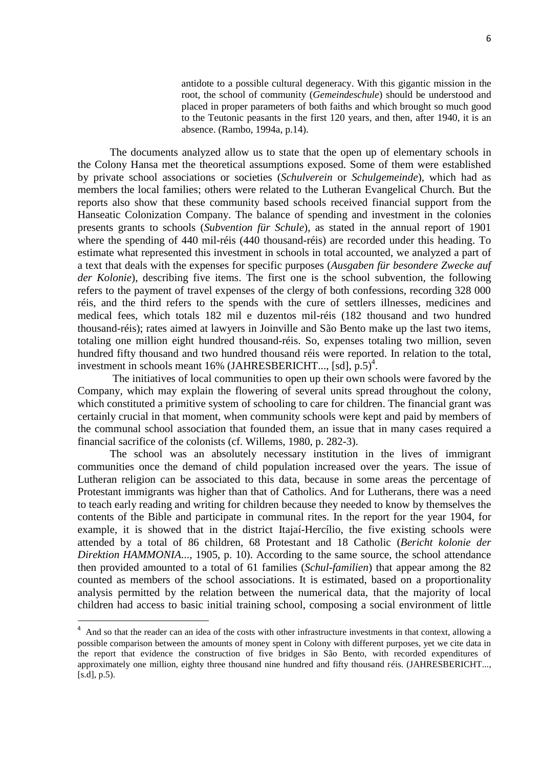antidote to a possible cultural degeneracy. With this gigantic mission in the root, the school of community (*Gemeindeschule*) should be understood and placed in proper parameters of both faiths and which brought so much good to the Teutonic peasants in the first 120 years, and then, after 1940, it is an absence. (Rambo, 1994a, p.14).

The documents analyzed allow us to state that the open up of elementary schools in the Colony Hansa met the theoretical assumptions exposed. Some of them were established by private school associations or societies (*Schulverein* or *Schulgemeinde*), which had as members the local families; others were related to the Lutheran Evangelical Church. But the reports also show that these community based schools received financial support from the Hanseatic Colonization Company. The balance of spending and investment in the colonies presents grants to schools (*Subvention für Schule*), as stated in the annual report of 1901 where the spending of 440 mil-réis (440 thousand-réis) are recorded under this heading. To estimate what represented this investment in schools in total accounted, we analyzed a part of a text that deals with the expenses for specific purposes (*Ausgaben für besondere Zwecke auf der Kolonie*), describing five items. The first one is the school subvention, the following refers to the payment of travel expenses of the clergy of both confessions, recording 328 000 réis, and the third refers to the spends with the cure of settlers illnesses, medicines and medical fees, which totals 182 mil e duzentos mil-réis (182 thousand and two hundred thousand-réis); rates aimed at lawyers in Joinville and São Bento make up the last two items, totaling one million eight hundred thousand-réis. So, expenses totaling two million, seven hundred fifty thousand and two hundred thousand réis were reported. In relation to the total, investment in schools meant 16% (JAHRESBERICHT..., [sd], p.5)<sup>4</sup>.

The initiatives of local communities to open up their own schools were favored by the Company, which may explain the flowering of several units spread throughout the colony, which constituted a primitive system of schooling to care for children. The financial grant was certainly crucial in that moment, when community schools were kept and paid by members of the communal school association that founded them, an issue that in many cases required a financial sacrifice of the colonists (cf. Willems, 1980, p. 282-3).

The school was an absolutely necessary institution in the lives of immigrant communities once the demand of child population increased over the years. The issue of Lutheran religion can be associated to this data, because in some areas the percentage of Protestant immigrants was higher than that of Catholics. And for Lutherans, there was a need to teach early reading and writing for children because they needed to know by themselves the contents of the Bible and participate in communal rites. In the report for the year 1904, for example, it is showed that in the district Itajaí-Hercílio, the five existing schools were attended by a total of 86 children, 68 Protestant and 18 Catholic (*Bericht kolonie der Direktion HAMMONIA*..., 1905, p. 10). According to the same source, the school attendance then provided amounted to a total of 61 families (*Schul-familien*) that appear among the 82 counted as members of the school associations. It is estimated, based on a proportionality analysis permitted by the relation between the numerical data, that the majority of local children had access to basic initial training school, composing a social environment of little

-

<sup>&</sup>lt;sup>4</sup> And so that the reader can an idea of the costs with other infrastructure investments in that context, allowing a possible comparison between the amounts of money spent in Colony with different purposes, yet we cite data in the report that evidence the construction of five bridges in São Bento, with recorded expenditures of approximately one million, eighty three thousand nine hundred and fifty thousand réis. (JAHRESBERICHT..., [s.d], p.5).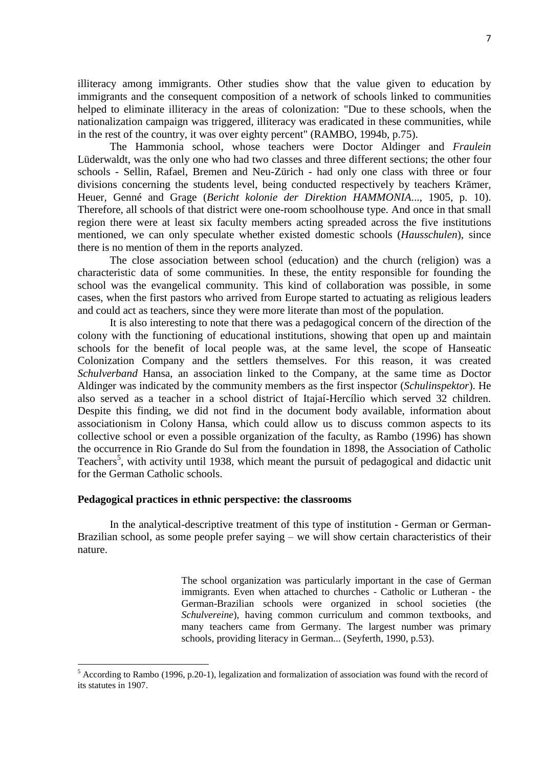illiteracy among immigrants. Other studies show that the value given to education by immigrants and the consequent composition of a network of schools linked to communities helped to eliminate illiteracy in the areas of colonization: "Due to these schools, when the nationalization campaign was triggered, illiteracy was eradicated in these communities, while in the rest of the country, it was over eighty percent" (RAMBO, 1994b, p.75).

The Hammonia school, whose teachers were Doctor Aldinger and *Fraulein* Lüderwaldt, was the only one who had two classes and three different sections; the other four schools - Sellin, Rafael, Bremen and Neu-Zürich - had only one class with three or four divisions concerning the students level, being conducted respectively by teachers Krämer, Heuer, Genné and Grage (*Bericht kolonie der Direktion HAMMONIA*..., 1905, p. 10). Therefore, all schools of that district were one-room schoolhouse type. And once in that small region there were at least six faculty members acting spreaded across the five institutions mentioned, we can only speculate whether existed domestic schools (*Hausschulen*), since there is no mention of them in the reports analyzed.

The close association between school (education) and the church (religion) was a characteristic data of some communities. In these, the entity responsible for founding the school was the evangelical community. This kind of collaboration was possible, in some cases, when the first pastors who arrived from Europe started to actuating as religious leaders and could act as teachers, since they were more literate than most of the population.

It is also interesting to note that there was a pedagogical concern of the direction of the colony with the functioning of educational institutions, showing that open up and maintain schools for the benefit of local people was, at the same level, the scope of Hanseatic Colonization Company and the settlers themselves. For this reason, it was created *Schulverband* Hansa, an association linked to the Company, at the same time as Doctor Aldinger was indicated by the community members as the first inspector (*Schulinspektor*). He also served as a teacher in a school district of Itajaí-Hercílio which served 32 children. Despite this finding, we did not find in the document body available, information about associationism in Colony Hansa, which could allow us to discuss common aspects to its collective school or even a possible organization of the faculty, as Rambo (1996) has shown the occurrence in Rio Grande do Sul from the foundation in 1898, the Association of Catholic Teachers<sup>5</sup>, with activity until 1938, which meant the pursuit of pedagogical and didactic unit for the German Catholic schools.

#### **Pedagogical practices in ethnic perspective: the classrooms**

1

In the analytical-descriptive treatment of this type of institution - German or German-Brazilian school, as some people prefer saying – we will show certain characteristics of their nature.

> The school organization was particularly important in the case of German immigrants. Even when attached to churches - Catholic or Lutheran - the German-Brazilian schools were organized in school societies (the *Schulvereine*), having common curriculum and common textbooks, and many teachers came from Germany. The largest number was primary schools, providing literacy in German... (Seyferth, 1990, p.53).

 $<sup>5</sup>$  According to Rambo (1996, p.20-1), legalization and formalization of association was found with the record of</sup> its statutes in 1907.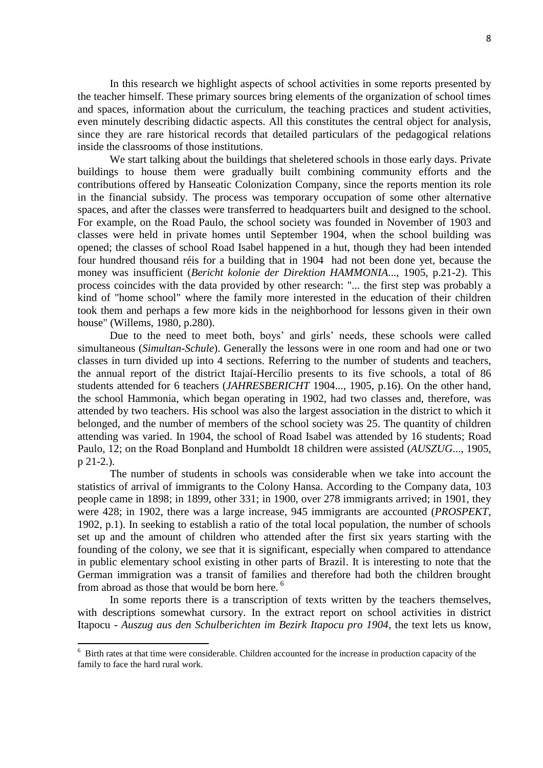In this research we highlight aspects of school activities in some reports presented by the teacher himself. These primary sources bring elements of the organization of school times and spaces, information about the curriculum, the teaching practices and student activities, even minutely describing didactic aspects. All this constitutes the central object for analysis, since they are rare historical records that detailed particulars of the pedagogical relations inside the classrooms of those institutions.

We start talking about the buildings that sheletered schools in those early days. Private buildings to house them were gradually built combining community efforts and the contributions offered by Hanseatic Colonization Company, since the reports mention its role in the financial subsidy. The process was temporary occupation of some other alternative spaces, and after the classes were transferred to headquarters built and designed to the school. For example, on the Road Paulo, the school society was founded in November of 1903 and classes were held in private homes until September 1904, when the school building was opened; the classes of school Road Isabel happened in a hut, though they had been intended four hundred thousand réis for a building that in 1904 had not been done yet, because the money was insufficient (*Bericht kolonie der Direktion HAMMONIA*..., 1905, p.21-2). This process coincides with the data provided by other research: "... the first step was probably a kind of "home school" where the family more interested in the education of their children took them and perhaps a few more kids in the neighborhood for lessons given in their own house" (Willems, 1980, p.280).

Due to the need to meet both, boys' and girls' needs, these schools were called simultaneous (*Simultan-Schule*). Generally the lessons were in one room and had one or two classes in turn divided up into 4 sections. Referring to the number of students and teachers, the annual report of the district Itajaí-Hercílio presents to its five schools, a total of 86 students attended for 6 teachers (*JAHRESBERICHT* 1904..., 1905, p.16). On the other hand, the school Hammonia, which began operating in 1902, had two classes and, therefore, was attended by two teachers. His school was also the largest association in the district to which it belonged, and the number of members of the school society was 25. The quantity of children attending was varied. In 1904, the school of Road Isabel was attended by 16 students; Road Paulo, 12; on the Road Bonpland and Humboldt 18 children were assisted (*AUSZUG*..., 1905, p 21-2.).

The number of students in schools was considerable when we take into account the statistics of arrival of immigrants to the Colony Hansa. According to the Company data, 103 people came in 1898; in 1899, other 331; in 1900, over 278 immigrants arrived; in 1901, they were 428; in 1902, there was a large increase, 945 immigrants are accounted (*PROSPEKT*, 1902, p.1). In seeking to establish a ratio of the total local population, the number of schools set up and the amount of children who attended after the first six years starting with the founding of the colony, we see that it is significant, especially when compared to attendance in public elementary school existing in other parts of Brazil. It is interesting to note that the German immigration was a transit of families and therefore had both the children brought from abroad as those that would be born here.<sup>6</sup>

In some reports there is a transcription of texts written by the teachers themselves, with descriptions somewhat cursory. In the extract report on school activities in district Itapocu - *Auszug aus den Schulberichten im Bezirk Itapocu pro 1904*, the text lets us know,

1

<sup>&</sup>lt;sup>6</sup> Birth rates at that time were considerable. Children accounted for the increase in production capacity of the family to face the hard rural work.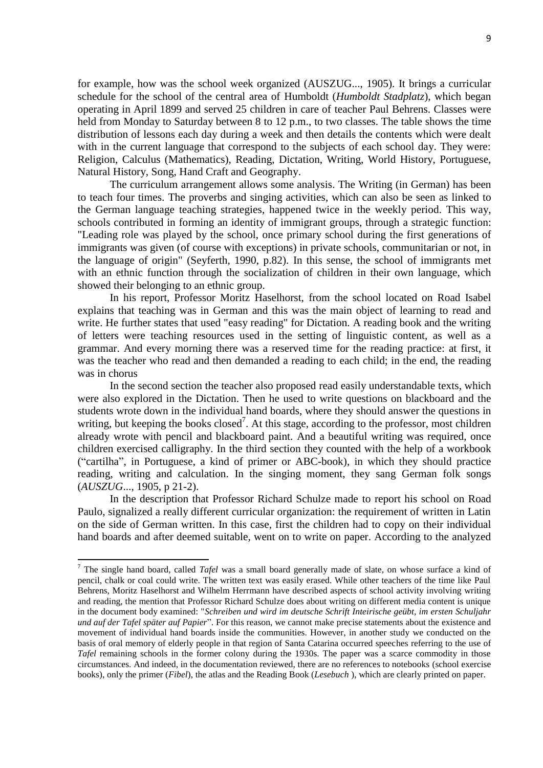for example, how was the school week organized (AUSZUG..., 1905). It brings a curricular schedule for the school of the central area of Humboldt (*Humboldt Stadplatz*), which began operating in April 1899 and served 25 children in care of teacher Paul Behrens. Classes were held from Monday to Saturday between 8 to 12 p.m., to two classes. The table shows the time distribution of lessons each day during a week and then details the contents which were dealt with in the current language that correspond to the subjects of each school day. They were: Religion, Calculus (Mathematics), Reading, Dictation, Writing, World History, Portuguese, Natural History, Song, Hand Craft and Geography.

The curriculum arrangement allows some analysis. The Writing (in German) has been to teach four times. The proverbs and singing activities, which can also be seen as linked to the German language teaching strategies, happened twice in the weekly period. This way, schools contributed in forming an identity of immigrant groups, through a strategic function: "Leading role was played by the school, once primary school during the first generations of immigrants was given (of course with exceptions) in private schools, communitarian or not, in the language of origin" (Seyferth, 1990, p.82). In this sense, the school of immigrants met with an ethnic function through the socialization of children in their own language, which showed their belonging to an ethnic group.

In his report, Professor Moritz Haselhorst, from the school located on Road Isabel explains that teaching was in German and this was the main object of learning to read and write. He further states that used "easy reading" for Dictation. A reading book and the writing of letters were teaching resources used in the setting of linguistic content, as well as a grammar. And every morning there was a reserved time for the reading practice: at first, it was the teacher who read and then demanded a reading to each child; in the end, the reading was in chorus

In the second section the teacher also proposed read easily understandable texts, which were also explored in the Dictation. Then he used to write questions on blackboard and the students wrote down in the individual hand boards, where they should answer the questions in writing, but keeping the books closed<sup>7</sup>. At this stage, according to the professor, most children already wrote with pencil and blackboard paint. And a beautiful writing was required, once children exercised calligraphy. In the third section they counted with the help of a workbook ("cartilha", in Portuguese, a kind of primer or ABC-book), in which they should practice reading, writing and calculation. In the singing moment, they sang German folk songs (*AUSZUG*..., 1905, p 21-2).

In the description that Professor Richard Schulze made to report his school on Road Paulo, signalized a really different curricular organization: the requirement of written in Latin on the side of German written. In this case, first the children had to copy on their individual hand boards and after deemed suitable, went on to write on paper. According to the analyzed

<sup>7</sup> The single hand board, called *Tafel* was a small board generally made of slate, on whose surface a kind of pencil, chalk or coal could write. The written text was easily erased. While other teachers of the time like Paul Behrens, Moritz Haselhorst and Wilhelm Herrmann have described aspects of school activity involving writing and reading, the mention that Professor Richard Schulze does about writing on different media content is unique in the document body examined: "*Schreiben und wird im deutsche Schrift Inteirische geübt, im ersten Schuljahr und auf der Tafel später auf Papier*". For this reason, we cannot make precise statements about the existence and movement of individual hand boards inside the communities. However, in another study we conducted on the basis of oral memory of elderly people in that region of Santa Catarina occurred speeches referring to the use of *Tafel* remaining schools in the former colony during the 1930s. The paper was a scarce commodity in those circumstances. And indeed, in the documentation reviewed, there are no references to notebooks (school exercise books), only the primer (*Fibel*), the atlas and the Reading Book (*Lesebuch* ), which are clearly printed on paper.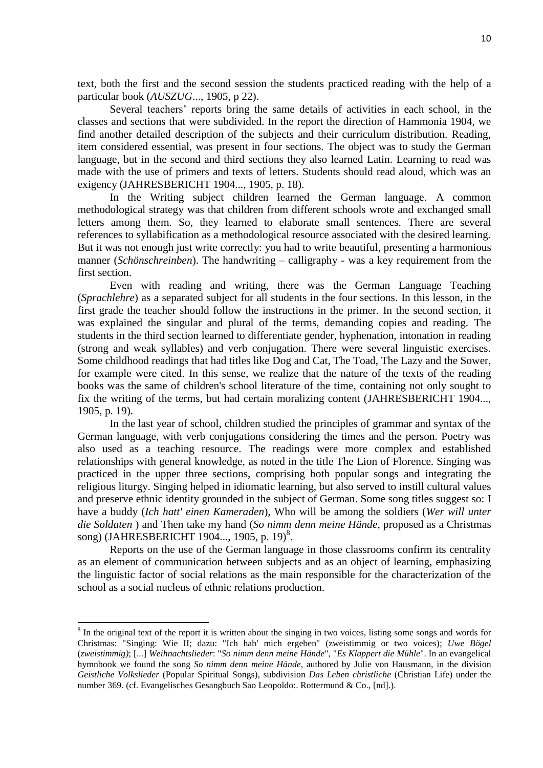text, both the first and the second session the students practiced reading with the help of a particular book (*AUSZUG*..., 1905, p 22).

Several teachers' reports bring the same details of activities in each school, in the classes and sections that were subdivided. In the report the direction of Hammonia 1904, we find another detailed description of the subjects and their curriculum distribution. Reading, item considered essential, was present in four sections. The object was to study the German language, but in the second and third sections they also learned Latin. Learning to read was made with the use of primers and texts of letters. Students should read aloud, which was an exigency (JAHRESBERICHT 1904..., 1905, p. 18).

In the Writing subject children learned the German language. A common methodological strategy was that children from different schools wrote and exchanged small letters among them. So, they learned to elaborate small sentences. There are several references to syllabification as a methodological resource associated with the desired learning. But it was not enough just write correctly: you had to write beautiful, presenting a harmonious manner (*Schönschreinben*). The handwriting – calligraphy - was a key requirement from the first section.

Even with reading and writing, there was the German Language Teaching (*Sprachlehre*) as a separated subject for all students in the four sections. In this lesson, in the first grade the teacher should follow the instructions in the primer. In the second section, it was explained the singular and plural of the terms, demanding copies and reading. The students in the third section learned to differentiate gender, hyphenation, intonation in reading (strong and weak syllables) and verb conjugation. There were several linguistic exercises. Some childhood readings that had titles like Dog and Cat, The Toad, The Lazy and the Sower, for example were cited. In this sense, we realize that the nature of the texts of the reading books was the same of children's school literature of the time, containing not only sought to fix the writing of the terms, but had certain moralizing content (JAHRESBERICHT 1904..., 1905, p. 19).

In the last year of school, children studied the principles of grammar and syntax of the German language, with verb conjugations considering the times and the person. Poetry was also used as a teaching resource. The readings were more complex and established relationships with general knowledge, as noted in the title The Lion of Florence. Singing was practiced in the upper three sections, comprising both popular songs and integrating the religious liturgy. Singing helped in idiomatic learning, but also served to instill cultural values and preserve ethnic identity grounded in the subject of German. Some song titles suggest so: I have a buddy (*Ich hatt' einen Kameraden*), Who will be among the soldiers (*Wer will unter die Soldaten* ) and Then take my hand (*So nimm denn meine Hände*, proposed as a Christmas song) (JAHRESBERICHT 1904..., 1905, p. 19)<sup>8</sup>.

Reports on the use of the German language in those classrooms confirm its centrality as an element of communication between subjects and as an object of learning, emphasizing the linguistic factor of social relations as the main responsible for the characterization of the school as a social nucleus of ethnic relations production.

<sup>&</sup>lt;sup>8</sup> In the original text of the report it is written about the singing in two voices, listing some songs and words for Christmas: "Singing: Wie II; dazu: "Ich hab' mich ergeben" (zweistimmig or two voices); *Uwe Bögel* (*zweistimmig)*; [...] *Weihnachtslieder*: "*So nimm denn meine Hände*", "*Es Klappert die Mühle*". In an evangelical hymnbook we found the song *So nimm denn meine Hände*, authored by Julie von Hausmann, in the division *Geistliche Volkslieder* (Popular Spiritual Songs), subdivision *Das Leben christliche* (Christian Life) under the number 369. (cf. Evangelisches Gesangbuch Sao Leopoldo:. Rottermund & Co., [nd].).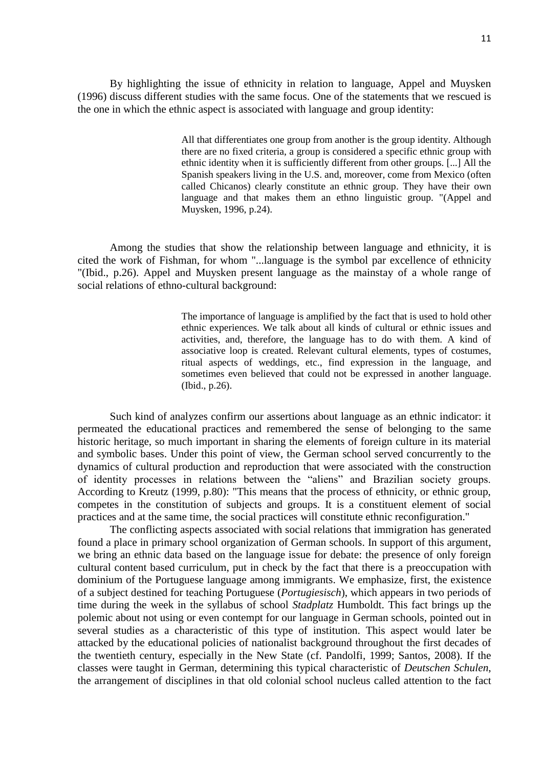By highlighting the issue of ethnicity in relation to language, Appel and Muysken (1996) discuss different studies with the same focus. One of the statements that we rescued is the one in which the ethnic aspect is associated with language and group identity:

> All that differentiates one group from another is the group identity. Although there are no fixed criteria, a group is considered a specific ethnic group with ethnic identity when it is sufficiently different from other groups. [...] All the Spanish speakers living in the U.S. and, moreover, come from Mexico (often called Chicanos) clearly constitute an ethnic group. They have their own language and that makes them an ethno linguistic group. "(Appel and Muysken, 1996, p.24).

Among the studies that show the relationship between language and ethnicity, it is cited the work of Fishman, for whom "...language is the symbol par excellence of ethnicity "(Ibid., p.26). Appel and Muysken present language as the mainstay of a whole range of social relations of ethno-cultural background:

> The importance of language is amplified by the fact that is used to hold other ethnic experiences. We talk about all kinds of cultural or ethnic issues and activities, and, therefore, the language has to do with them. A kind of associative loop is created. Relevant cultural elements, types of costumes, ritual aspects of weddings, etc., find expression in the language, and sometimes even believed that could not be expressed in another language. (Ibid., p.26).

Such kind of analyzes confirm our assertions about language as an ethnic indicator: it permeated the educational practices and remembered the sense of belonging to the same historic heritage, so much important in sharing the elements of foreign culture in its material and symbolic bases. Under this point of view, the German school served concurrently to the dynamics of cultural production and reproduction that were associated with the construction of identity processes in relations between the "aliens" and Brazilian society groups. According to Kreutz (1999, p.80): "This means that the process of ethnicity, or ethnic group, competes in the constitution of subjects and groups. It is a constituent element of social practices and at the same time, the social practices will constitute ethnic reconfiguration."

The conflicting aspects associated with social relations that immigration has generated found a place in primary school organization of German schools. In support of this argument, we bring an ethnic data based on the language issue for debate: the presence of only foreign cultural content based curriculum, put in check by the fact that there is a preoccupation with dominium of the Portuguese language among immigrants. We emphasize, first, the existence of a subject destined for teaching Portuguese (*Portugiesisch*), which appears in two periods of time during the week in the syllabus of school *Stadplatz* Humboldt. This fact brings up the polemic about not using or even contempt for our language in German schools, pointed out in several studies as a characteristic of this type of institution. This aspect would later be attacked by the educational policies of nationalist background throughout the first decades of the twentieth century, especially in the New State (cf. Pandolfi, 1999; Santos, 2008). If the classes were taught in German, determining this typical characteristic of *Deutschen Schulen*, the arrangement of disciplines in that old colonial school nucleus called attention to the fact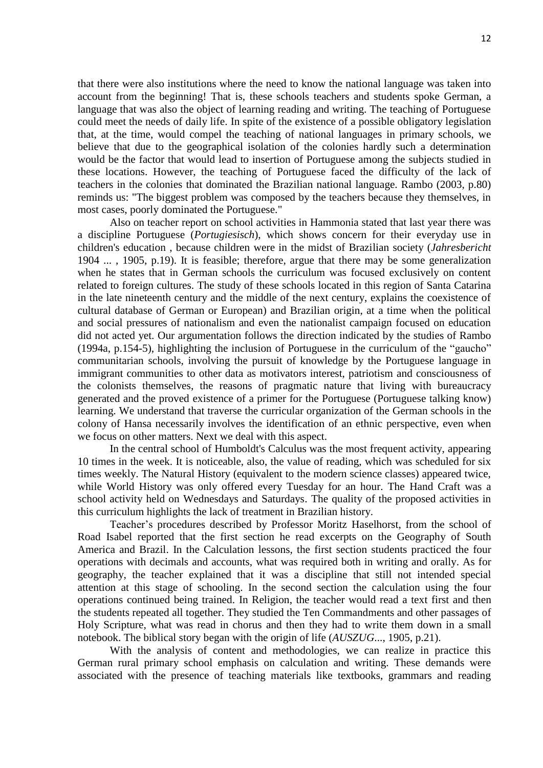that there were also institutions where the need to know the national language was taken into account from the beginning! That is, these schools teachers and students spoke German, a language that was also the object of learning reading and writing. The teaching of Portuguese could meet the needs of daily life. In spite of the existence of a possible obligatory legislation that, at the time, would compel the teaching of national languages in primary schools, we believe that due to the geographical isolation of the colonies hardly such a determination would be the factor that would lead to insertion of Portuguese among the subjects studied in these locations. However, the teaching of Portuguese faced the difficulty of the lack of teachers in the colonies that dominated the Brazilian national language. Rambo (2003, p.80) reminds us: "The biggest problem was composed by the teachers because they themselves, in most cases, poorly dominated the Portuguese."

Also on teacher report on school activities in Hammonia stated that last year there was a discipline Portuguese (*Portugiesisch*), which shows concern for their everyday use in children's education , because children were in the midst of Brazilian society (*Jahresbericht*  1904 ... , 1905, p.19). It is feasible; therefore, argue that there may be some generalization when he states that in German schools the curriculum was focused exclusively on content related to foreign cultures. The study of these schools located in this region of Santa Catarina in the late nineteenth century and the middle of the next century, explains the coexistence of cultural database of German or European) and Brazilian origin, at a time when the political and social pressures of nationalism and even the nationalist campaign focused on education did not acted yet. Our argumentation follows the direction indicated by the studies of Rambo (1994a, p.154-5), highlighting the inclusion of Portuguese in the curriculum of the "gaucho" communitarian schools, involving the pursuit of knowledge by the Portuguese language in immigrant communities to other data as motivators interest, patriotism and consciousness of the colonists themselves, the reasons of pragmatic nature that living with bureaucracy generated and the proved existence of a primer for the Portuguese (Portuguese talking know) learning. We understand that traverse the curricular organization of the German schools in the colony of Hansa necessarily involves the identification of an ethnic perspective, even when we focus on other matters. Next we deal with this aspect.

In the central school of Humboldt's Calculus was the most frequent activity, appearing 10 times in the week. It is noticeable, also, the value of reading, which was scheduled for six times weekly. The Natural History (equivalent to the modern science classes) appeared twice, while World History was only offered every Tuesday for an hour. The Hand Craft was a school activity held on Wednesdays and Saturdays. The quality of the proposed activities in this curriculum highlights the lack of treatment in Brazilian history.

Teacher's procedures described by Professor Moritz Haselhorst, from the school of Road Isabel reported that the first section he read excerpts on the Geography of South America and Brazil. In the Calculation lessons, the first section students practiced the four operations with decimals and accounts, what was required both in writing and orally. As for geography, the teacher explained that it was a discipline that still not intended special attention at this stage of schooling. In the second section the calculation using the four operations continued being trained. In Religion, the teacher would read a text first and then the students repeated all together. They studied the Ten Commandments and other passages of Holy Scripture, what was read in chorus and then they had to write them down in a small notebook. The biblical story began with the origin of life (*AUSZUG*..., 1905, p.21).

With the analysis of content and methodologies, we can realize in practice this German rural primary school emphasis on calculation and writing. These demands were associated with the presence of teaching materials like textbooks, grammars and reading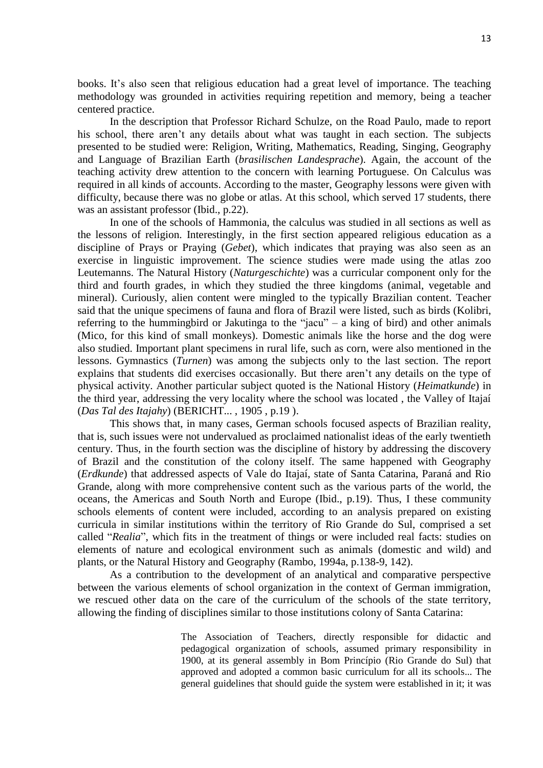books. It's also seen that religious education had a great level of importance. The teaching methodology was grounded in activities requiring repetition and memory, being a teacher centered practice.

In the description that Professor Richard Schulze, on the Road Paulo, made to report his school, there aren't any details about what was taught in each section. The subjects presented to be studied were: Religion, Writing, Mathematics, Reading, Singing, Geography and Language of Brazilian Earth (*brasilischen Landesprache*). Again, the account of the teaching activity drew attention to the concern with learning Portuguese. On Calculus was required in all kinds of accounts. According to the master, Geography lessons were given with difficulty, because there was no globe or atlas. At this school, which served 17 students, there was an assistant professor (Ibid., p.22).

In one of the schools of Hammonia, the calculus was studied in all sections as well as the lessons of religion. Interestingly, in the first section appeared religious education as a discipline of Prays or Praying (*Gebet*), which indicates that praying was also seen as an exercise in linguistic improvement. The science studies were made using the atlas zoo Leutemanns. The Natural History (*Naturgeschichte*) was a curricular component only for the third and fourth grades, in which they studied the three kingdoms (animal, vegetable and mineral). Curiously, alien content were mingled to the typically Brazilian content. Teacher said that the unique specimens of fauna and flora of Brazil were listed, such as birds (Kolibri, referring to the hummingbird or Jakutinga to the "jacu"  $-$  a king of bird) and other animals (Mico, for this kind of small monkeys). Domestic animals like the horse and the dog were also studied. Important plant specimens in rural life, such as corn, were also mentioned in the lessons. Gymnastics (*Turnen*) was among the subjects only to the last section. The report explains that students did exercises occasionally. But there aren't any details on the type of physical activity. Another particular subject quoted is the National History (*Heimatkunde*) in the third year, addressing the very locality where the school was located , the Valley of Itajaí (*Das Tal des Itajahy*) (BERICHT... , 1905 , p.19 ).

This shows that, in many cases, German schools focused aspects of Brazilian reality, that is, such issues were not undervalued as proclaimed nationalist ideas of the early twentieth century. Thus, in the fourth section was the discipline of history by addressing the discovery of Brazil and the constitution of the colony itself. The same happened with Geography (*Erdkunde*) that addressed aspects of Vale do Itajaí, state of Santa Catarina, Paraná and Rio Grande, along with more comprehensive content such as the various parts of the world, the oceans, the Americas and South North and Europe (Ibid., p.19). Thus, I these community schools elements of content were included, according to an analysis prepared on existing curricula in similar institutions within the territory of Rio Grande do Sul, comprised a set called "*Realia*", which fits in the treatment of things or were included real facts: studies on elements of nature and ecological environment such as animals (domestic and wild) and plants, or the Natural History and Geography (Rambo, 1994a, p.138-9, 142).

As a contribution to the development of an analytical and comparative perspective between the various elements of school organization in the context of German immigration, we rescued other data on the care of the curriculum of the schools of the state territory, allowing the finding of disciplines similar to those institutions colony of Santa Catarina:

> The Association of Teachers, directly responsible for didactic and pedagogical organization of schools, assumed primary responsibility in 1900, at its general assembly in Bom Princípio (Rio Grande do Sul) that approved and adopted a common basic curriculum for all its schools... The general guidelines that should guide the system were established in it; it was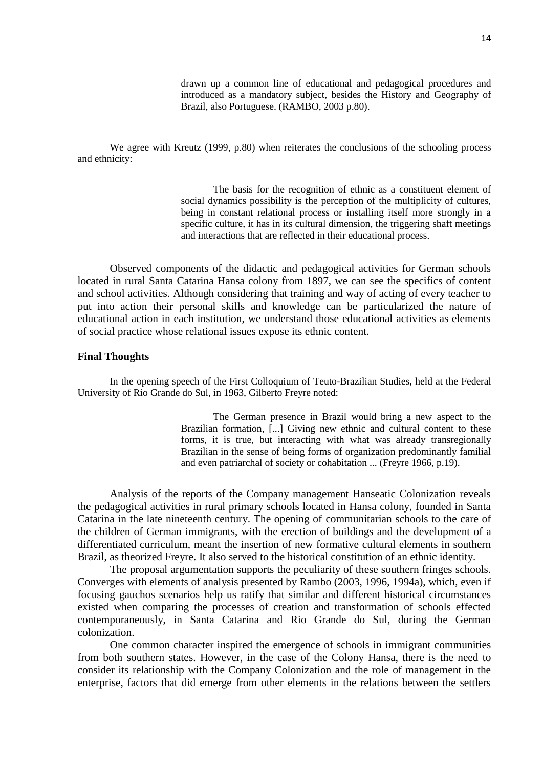drawn up a common line of educational and pedagogical procedures and introduced as a mandatory subject, besides the History and Geography of Brazil, also Portuguese. (RAMBO, 2003 p.80).

We agree with Kreutz (1999, p.80) when reiterates the conclusions of the schooling process and ethnicity:

> The basis for the recognition of ethnic as a constituent element of social dynamics possibility is the perception of the multiplicity of cultures, being in constant relational process or installing itself more strongly in a specific culture, it has in its cultural dimension, the triggering shaft meetings and interactions that are reflected in their educational process.

Observed components of the didactic and pedagogical activities for German schools located in rural Santa Catarina Hansa colony from 1897, we can see the specifics of content and school activities. Although considering that training and way of acting of every teacher to put into action their personal skills and knowledge can be particularized the nature of educational action in each institution, we understand those educational activities as elements of social practice whose relational issues expose its ethnic content.

### **Final Thoughts**

In the opening speech of the First Colloquium of Teuto-Brazilian Studies, held at the Federal University of Rio Grande do Sul, in 1963, Gilberto Freyre noted:

> The German presence in Brazil would bring a new aspect to the Brazilian formation, [...] Giving new ethnic and cultural content to these forms, it is true, but interacting with what was already transregionally Brazilian in the sense of being forms of organization predominantly familial and even patriarchal of society or cohabitation ... (Freyre 1966, p.19).

Analysis of the reports of the Company management Hanseatic Colonization reveals the pedagogical activities in rural primary schools located in Hansa colony, founded in Santa Catarina in the late nineteenth century. The opening of communitarian schools to the care of the children of German immigrants, with the erection of buildings and the development of a differentiated curriculum, meant the insertion of new formative cultural elements in southern Brazil, as theorized Freyre. It also served to the historical constitution of an ethnic identity.

The proposal argumentation supports the peculiarity of these southern fringes schools. Converges with elements of analysis presented by Rambo (2003, 1996, 1994a), which, even if focusing gauchos scenarios help us ratify that similar and different historical circumstances existed when comparing the processes of creation and transformation of schools effected contemporaneously, in Santa Catarina and Rio Grande do Sul, during the German colonization.

One common character inspired the emergence of schools in immigrant communities from both southern states. However, in the case of the Colony Hansa, there is the need to consider its relationship with the Company Colonization and the role of management in the enterprise, factors that did emerge from other elements in the relations between the settlers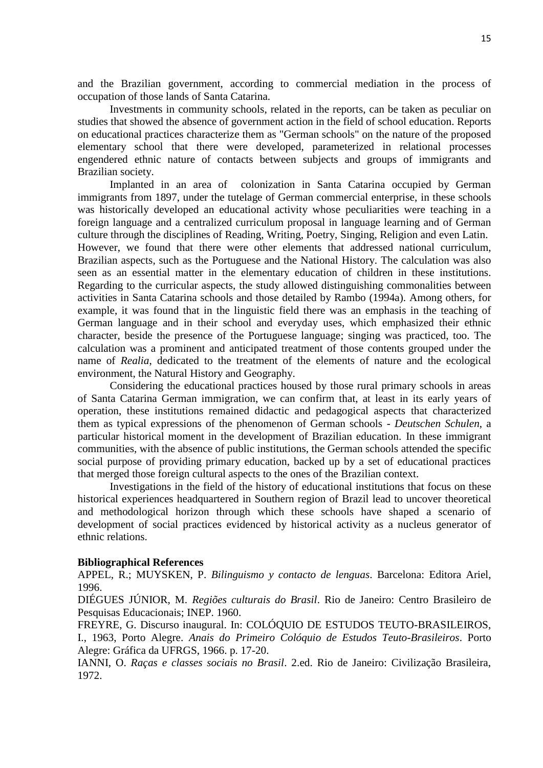and the Brazilian government, according to commercial mediation in the process of occupation of those lands of Santa Catarina.

Investments in community schools, related in the reports, can be taken as peculiar on studies that showed the absence of government action in the field of school education. Reports on educational practices characterize them as "German schools" on the nature of the proposed elementary school that there were developed, parameterized in relational processes engendered ethnic nature of contacts between subjects and groups of immigrants and Brazilian society.

Implanted in an area of colonization in Santa Catarina occupied by German immigrants from 1897, under the tutelage of German commercial enterprise, in these schools was historically developed an educational activity whose peculiarities were teaching in a foreign language and a centralized curriculum proposal in language learning and of German culture through the disciplines of Reading, Writing, Poetry, Singing, Religion and even Latin. However, we found that there were other elements that addressed national curriculum, Brazilian aspects, such as the Portuguese and the National History. The calculation was also seen as an essential matter in the elementary education of children in these institutions. Regarding to the curricular aspects, the study allowed distinguishing commonalities between activities in Santa Catarina schools and those detailed by Rambo (1994a). Among others, for example, it was found that in the linguistic field there was an emphasis in the teaching of German language and in their school and everyday uses, which emphasized their ethnic character, beside the presence of the Portuguese language; singing was practiced, too. The calculation was a prominent and anticipated treatment of those contents grouped under the name of *Realia*, dedicated to the treatment of the elements of nature and the ecological environment, the Natural History and Geography.

Considering the educational practices housed by those rural primary schools in areas of Santa Catarina German immigration, we can confirm that, at least in its early years of operation, these institutions remained didactic and pedagogical aspects that characterized them as typical expressions of the phenomenon of German schools - *Deutschen Schulen*, a particular historical moment in the development of Brazilian education. In these immigrant communities, with the absence of public institutions, the German schools attended the specific social purpose of providing primary education, backed up by a set of educational practices that merged those foreign cultural aspects to the ones of the Brazilian context.

Investigations in the field of the history of educational institutions that focus on these historical experiences headquartered in Southern region of Brazil lead to uncover theoretical and methodological horizon through which these schools have shaped a scenario of development of social practices evidenced by historical activity as a nucleus generator of ethnic relations.

### **Bibliographical References**

APPEL, R.; MUYSKEN, P. *Bilinguismo y contacto de lenguas*. Barcelona: Editora Ariel, 1996.

DIÉGUES JÚNIOR, M. *Regiões culturais do Brasil*. Rio de Janeiro: Centro Brasileiro de Pesquisas Educacionais; INEP. 1960.

FREYRE, G. Discurso inaugural. In: COLÓQUIO DE ESTUDOS TEUTO-BRASILEIROS, I., 1963, Porto Alegre. *Anais do Primeiro Colóquio de Estudos Teuto-Brasileiros*. Porto Alegre: Gráfica da UFRGS, 1966. p. 17-20.

IANNI, O. *Raças e classes sociais no Brasil*. 2.ed. Rio de Janeiro: Civilização Brasileira, 1972.